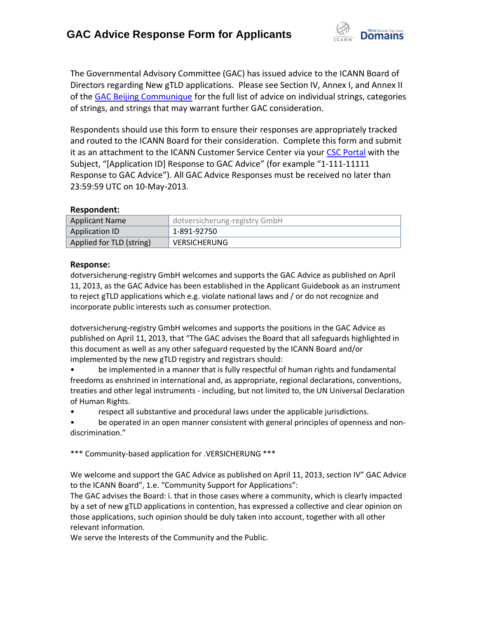

The Governmental Advisory Committee (GAC) has issued advice to the ICANN Board of Directors regarding New gTLD applications. Please see Section IV, Annex I, and Annex II of the [GAC Beijing Communique](http://www.icann.org/en/news/correspondence/gac-to-board-18apr13-en.pdf) for the full list of advice on individual strings, categories of strings, and strings that may warrant further GAC consideration.

Respondents should use this form to ensure their responses are appropriately tracked and routed to the ICANN Board for their consideration. Complete this form and submit it as an attachment to the ICANN Customer Service Center via your CSC [Portal](https://myicann.secure.force.com/) with the Subject, "[Application ID] Response to GAC Advice" (for example "1-111-11111 Response to GAC Advice"). All GAC Advice Responses must be received no later than 23:59:59 UTC on 10-May-2013.

### **Respondent:**

| <b>Applicant Name</b>    | dotversicherung-registry GmbH |
|--------------------------|-------------------------------|
| <b>Application ID</b>    | 1-891-92750                   |
| Applied for TLD (string) | <b>VERSICHERUNG</b>           |

### **Response:**

dotversicherung-registry GmbH welcomes and supports the GAC Advice as published on April 11, 2013, as the GAC Advice has been established in the Applicant Guidebook as an instrument to reject gTLD applications which e.g. violate national laws and / or do not recognize and incorporate public interests such as consumer protection.

dotversicherung-registry GmbH welcomes and supports the positions in the GAC Advice as published on April 11, 2013, that "The GAC advises the Board that all safeguards highlighted in this document as well as any other safeguard requested by the ICANN Board and/or implemented by the new gTLD registry and registrars should:

• be implemented in a manner that is fully respectful of human rights and fundamental freedoms as enshrined in international and, as appropriate, regional declarations, conventions, treaties and other legal instruments - including, but not limited to, the UN Universal Declaration of Human Rights.

• respect all substantive and procedural laws under the applicable jurisdictions.

be operated in an open manner consistent with general principles of openness and nondiscrimination."

\*\*\* Community-based application for .VERSICHERUNG \*\*\*

We welcome and support the GAC Advice as published on April 11, 2013, section IV" GAC Advice to the ICANN Board", 1.e. "Community Support for Applications":

The GAC advises the Board: i. that in those cases where a community, which is clearly impacted by a set of new gTLD applications in contention, has expressed a collective and clear opinion on those applications, such opinion should be duly taken into account, together with all other relevant information.

We serve the Interests of the Community and the Public.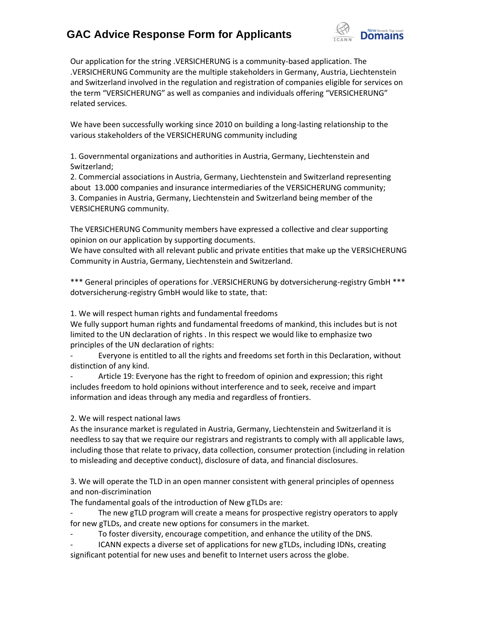

Our application for the string .VERSICHERUNG is a community-based application. The .VERSICHERUNG Community are the multiple stakeholders in Germany, Austria, Liechtenstein and Switzerland involved in the regulation and registration of companies eligible for services on the term "VERSICHERUNG" as well as companies and individuals offering "VERSICHERUNG" related services.

We have been successfully working since 2010 on building a long-lasting relationship to the various stakeholders of the VERSICHERUNG community including

1. Governmental organizations and authorities in Austria, Germany, Liechtenstein and Switzerland;

2. Commercial associations in Austria, Germany, Liechtenstein and Switzerland representing about 13.000 companies and insurance intermediaries of the VERSICHERUNG community; 3. Companies in Austria, Germany, Liechtenstein and Switzerland being member of the VERSICHERUNG community.

The VERSICHERUNG Community members have expressed a collective and clear supporting opinion on our application by supporting documents.

We have consulted with all relevant public and private entities that make up the VERSICHERUNG Community in Austria, Germany, Liechtenstein and Switzerland.

\*\*\* General principles of operations for .VERSICHERUNG by dotversicherung-registry GmbH \*\*\* dotversicherung-registry GmbH would like to state, that:

1. We will respect human rights and fundamental freedoms

We fully support human rights and fundamental freedoms of mankind, this includes but is not limited to the UN declaration of rights . In this respect we would like to emphasize two principles of the UN declaration of rights:

Everyone is entitled to all the rights and freedoms set forth in this Declaration, without distinction of any kind.

Article 19: Everyone has the right to freedom of opinion and expression; this right includes freedom to hold opinions without interference and to seek, receive and impart information and ideas through any media and regardless of frontiers.

2. We will respect national laws

As the insurance market is regulated in Austria, Germany, Liechtenstein and Switzerland it is needless to say that we require our registrars and registrants to comply with all applicable laws, including those that relate to privacy, data collection, consumer protection (including in relation to misleading and deceptive conduct), disclosure of data, and financial disclosures.

3. We will operate the TLD in an open manner consistent with general principles of openness and non‐discrimination

The fundamental goals of the introduction of New gTLDs are:

The new gTLD program will create a means for prospective registry operators to apply for new gTLDs, and create new options for consumers in the market.

To foster diversity, encourage competition, and enhance the utility of the DNS.

ICANN expects a diverse set of applications for new gTLDs, including IDNs, creating significant potential for new uses and benefit to Internet users across the globe.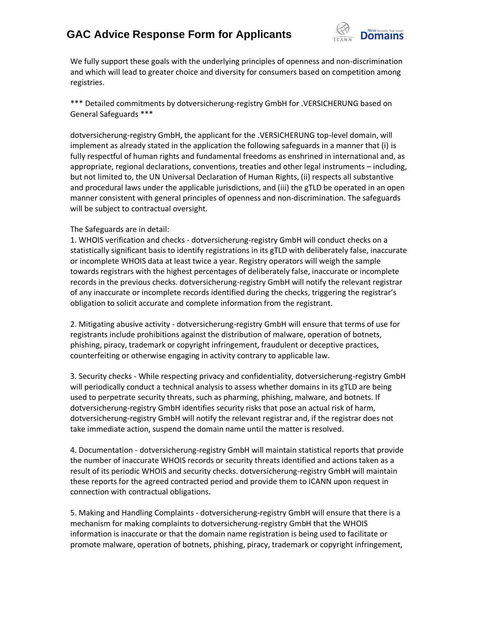

We fully support these goals with the underlying principles of openness and non-discrimination and which will lead to greater choice and diversity for consumers based on competition among registries.

\*\*\* Detailed commitments by dotversicherung-registry GmbH for .VERSICHERUNG based on General Safeguards \*\*\*

dotversicherung-registry GmbH, the applicant for the .VERSICHERUNG top-level domain, will implement as already stated in the application the following safeguards in a manner that (i) is fully respectful of human rights and fundamental freedoms as enshrined in international and, as appropriate, regional declarations, conventions, treaties and other legal instruments – including, but not limited to, the UN Universal Declaration of Human Rights, (ii) respects all substantive and procedural laws under the applicable jurisdictions, and (iii) the gTLD be operated in an open manner consistent with general principles of openness and non‐discrimination. The safeguards will be subject to contractual oversight.

#### The Safeguards are in detail:

1. WHOIS verification and checks - dotversicherung-registry GmbH will conduct checks on a statistically significant basis to identify registrations in its gTLD with deliberately false, inaccurate or incomplete WHOIS data at least twice a year. Registry operators will weigh the sample towards registrars with the highest percentages of deliberately false, inaccurate or incomplete records in the previous checks. dotversicherung-registry GmbH will notify the relevant registrar of any inaccurate or incomplete records identified during the checks, triggering the registrar's obligation to solicit accurate and complete information from the registrant.

2. Mitigating abusive activity - dotversicherung-registry GmbH will ensure that terms of use for registrants include prohibitions against the distribution of malware, operation of botnets, phishing, piracy, trademark or copyright infringement, fraudulent or deceptive practices, counterfeiting or otherwise engaging in activity contrary to applicable law.

3. Security checks - While respecting privacy and confidentiality, dotversicherung-registry GmbH will periodically conduct a technical analysis to assess whether domains in its gTLD are being used to perpetrate security threats, such as pharming, phishing, malware, and botnets. If dotversicherung-registry GmbH identifies security risks that pose an actual risk of harm, dotversicherung-registry GmbH will notify the relevant registrar and, if the registrar does not take immediate action, suspend the domain name until the matter is resolved.

4. Documentation - dotversicherung-registry GmbH will maintain statistical reports that provide the number of inaccurate WHOIS records or security threats identified and actions taken as a result of its periodic WHOIS and security checks. dotversicherung-registry GmbH will maintain these reports for the agreed contracted period and provide them to ICANN upon request in connection with contractual obligations.

5. Making and Handling Complaints - dotversicherung-registry GmbH will ensure that there is a mechanism for making complaints to dotversicherung-registry GmbH that the WHOIS information is inaccurate or that the domain name registration is being used to facilitate or promote malware, operation of botnets, phishing, piracy, trademark or copyright infringement,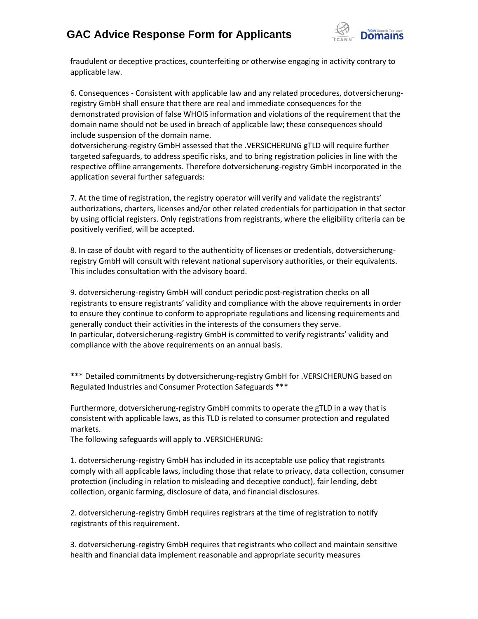

fraudulent or deceptive practices, counterfeiting or otherwise engaging in activity contrary to applicable law.

6. Consequences - Consistent with applicable law and any related procedures, dotversicherungregistry GmbH shall ensure that there are real and immediate consequences for the demonstrated provision of false WHOIS information and violations of the requirement that the domain name should not be used in breach of applicable law; these consequences should include suspension of the domain name.

dotversicherung-registry GmbH assessed that the .VERSICHERUNG gTLD will require further targeted safeguards, to address specific risks, and to bring registration policies in line with the respective offline arrangements. Therefore dotversicherung-registry GmbH incorporated in the application several further safeguards:

7. At the time of registration, the registry operator will verify and validate the registrants' authorizations, charters, licenses and/or other related credentials for participation in that sector by using official registers. Only registrations from registrants, where the eligibility criteria can be positively verified, will be accepted.

8. In case of doubt with regard to the authenticity of licenses or credentials, dotversicherungregistry GmbH will consult with relevant national supervisory authorities, or their equivalents. This includes consultation with the advisory board.

9. dotversicherung-registry GmbH will conduct periodic post-registration checks on all registrants to ensure registrants' validity and compliance with the above requirements in order to ensure they continue to conform to appropriate regulations and licensing requirements and generally conduct their activities in the interests of the consumers they serve. In particular, dotversicherung-registry GmbH is committed to verify registrants' validity and compliance with the above requirements on an annual basis.

\*\*\* Detailed commitments by dotversicherung-registry GmbH for .VERSICHERUNG based on Regulated Industries and Consumer Protection Safeguards \*\*\*

Furthermore, dotversicherung-registry GmbH commits to operate the gTLD in a way that is consistent with applicable laws, as this TLD is related to consumer protection and regulated markets.

The following safeguards will apply to .VERSICHERUNG:

1. dotversicherung-registry GmbH has included in its acceptable use policy that registrants comply with all applicable laws, including those that relate to privacy, data collection, consumer protection (including in relation to misleading and deceptive conduct), fair lending, debt collection, organic farming, disclosure of data, and financial disclosures.

2. dotversicherung-registry GmbH requires registrars at the time of registration to notify registrants of this requirement.

3. dotversicherung-registry GmbH requires that registrants who collect and maintain sensitive health and financial data implement reasonable and appropriate security measures